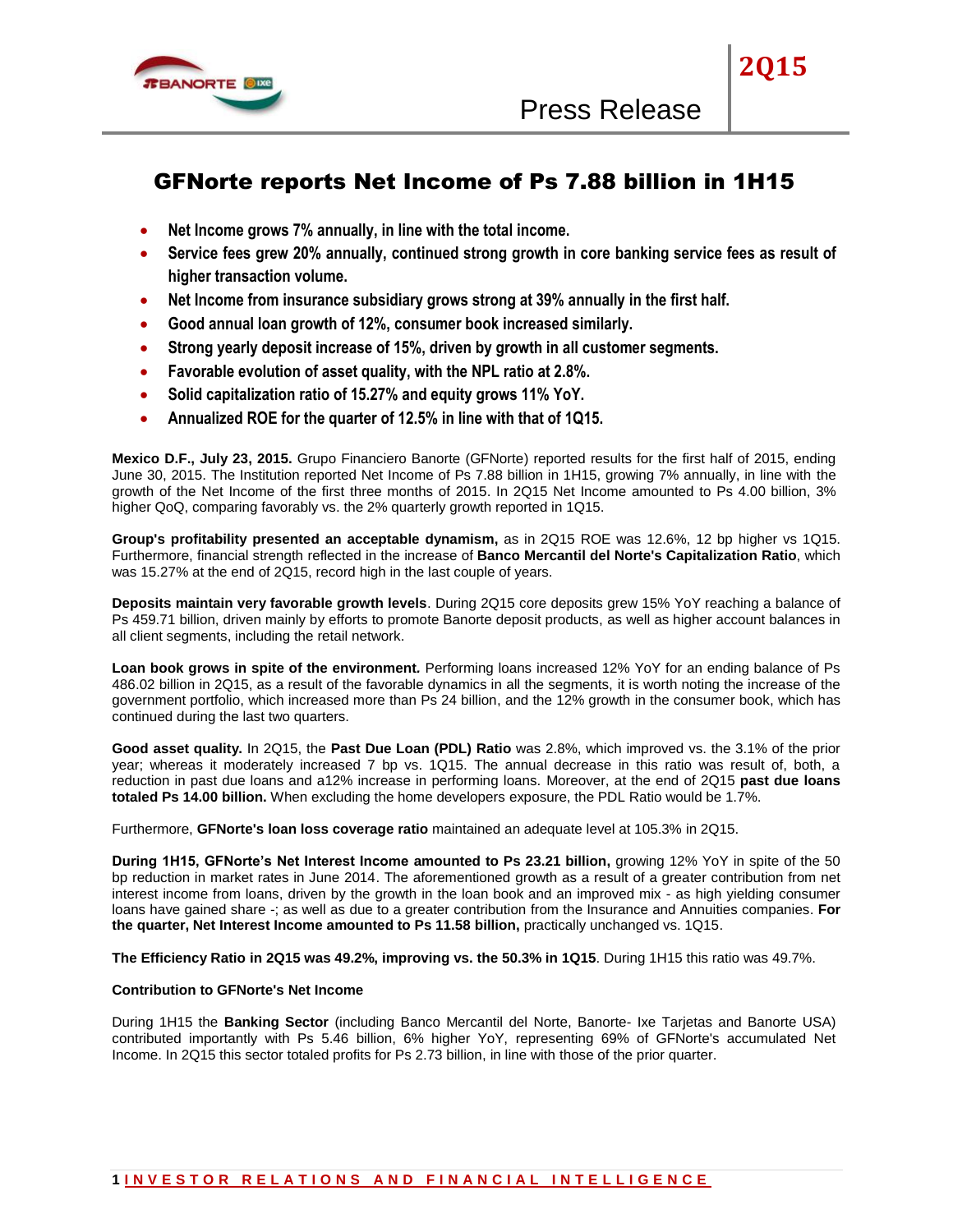

**2Q15**

# GFNorte reports Net Income of Ps 7.88 billion in 1H15

- **Net Income grows 7% annually, in line with the total income.**
- **Service fees grew 20% annually, continued strong growth in core banking service fees as result of higher transaction volume.**
- **Net Income from insurance subsidiary grows strong at 39% annually in the first half.**
- **Good annual loan growth of 12%, consumer book increased similarly.**
- **Strong yearly deposit increase of 15%, driven by growth in all customer segments.**
- **Favorable evolution of asset quality, with the NPL ratio at 2.8%.**
- **Solid capitalization ratio of 15.27% and equity grows 11% YoY.**
- **Annualized ROE for the quarter of 12.5% in line with that of 1Q15.**

**Mexico D.F., July 23, 2015.** Grupo Financiero Banorte (GFNorte) reported results for the first half of 2015, ending June 30, 2015. The Institution reported Net Income of Ps 7.88 billion in 1H15, growing 7% annually, in line with the growth of the Net Income of the first three months of 2015. In 2Q15 Net Income amounted to Ps 4.00 billion, 3% higher QoQ, comparing favorably vs. the 2% quarterly growth reported in 1Q15.

**Group's profitability presented an acceptable dynamism,** as in 2Q15 ROE was 12.6%, 12 bp higher vs 1Q15. Furthermore, financial strength reflected in the increase of **Banco Mercantil del Norte's Capitalization Ratio**, which was 15.27% at the end of 2Q15, record high in the last couple of years.

**Deposits maintain very favorable growth levels**. During 2Q15 core deposits grew 15% YoY reaching a balance of Ps 459.71 billion, driven mainly by efforts to promote Banorte deposit products, as well as higher account balances in all client segments, including the retail network.

**Loan book grows in spite of the environment***.* Performing loans increased 12% YoY for an ending balance of Ps 486.02 billion in 2Q15, as a result of the favorable dynamics in all the segments, it is worth noting the increase of the government portfolio, which increased more than Ps 24 billion, and the 12% growth in the consumer book, which has continued during the last two quarters.

**Good asset quality.** In 2Q15, the **Past Due Loan (PDL) Ratio** was 2.8%, which improved vs. the 3.1% of the prior year; whereas it moderately increased 7 bp vs. 1Q15. The annual decrease in this ratio was result of, both, a reduction in past due loans and a12% increase in performing loans. Moreover, at the end of 2Q15 **past due loans totaled Ps 14.00 billion.** When excluding the home developers exposure, the PDL Ratio would be 1.7%.

Furthermore, **GFNorte's loan loss coverage ratio** maintained an adequate level at 105.3% in 2Q15.

**During 1H15, GFNorte's Net Interest Income amounted to Ps 23.21 billion,** growing 12% YoY in spite of the 50 bp reduction in market rates in June 2014. The aforementioned growth as a result of a greater contribution from net interest income from loans, driven by the growth in the loan book and an improved mix - as high yielding consumer loans have gained share -; as well as due to a greater contribution from the Insurance and Annuities companies. **For the quarter, Net Interest Income amounted to Ps 11.58 billion,** practically unchanged vs. 1Q15.

**The Efficiency Ratio in 2Q15 was 49.2%, improving vs. the 50.3% in 1Q15**. During 1H15 this ratio was 49.7%.

## **Contribution to GFNorte's Net Income**

During 1H15 the **Banking Sector** (including Banco Mercantil del Norte, Banorte- Ixe Tarjetas and Banorte USA) contributed importantly with Ps 5.46 billion, 6% higher YoY, representing 69% of GFNorte's accumulated Net Income. In 2Q15 this sector totaled profits for Ps 2.73 billion, in line with those of the prior quarter.